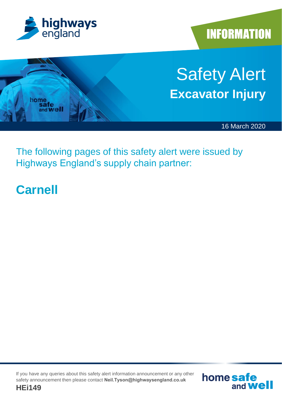

**INFORMATION** 



The following pages of this safety alert were issued by Highways England's supply chain partner:

### **Carnell**

If you have any queries about this safety alert information announcement or any other safety announcement then please contact **Neil.Tyson@highwaysengland.co.uk**